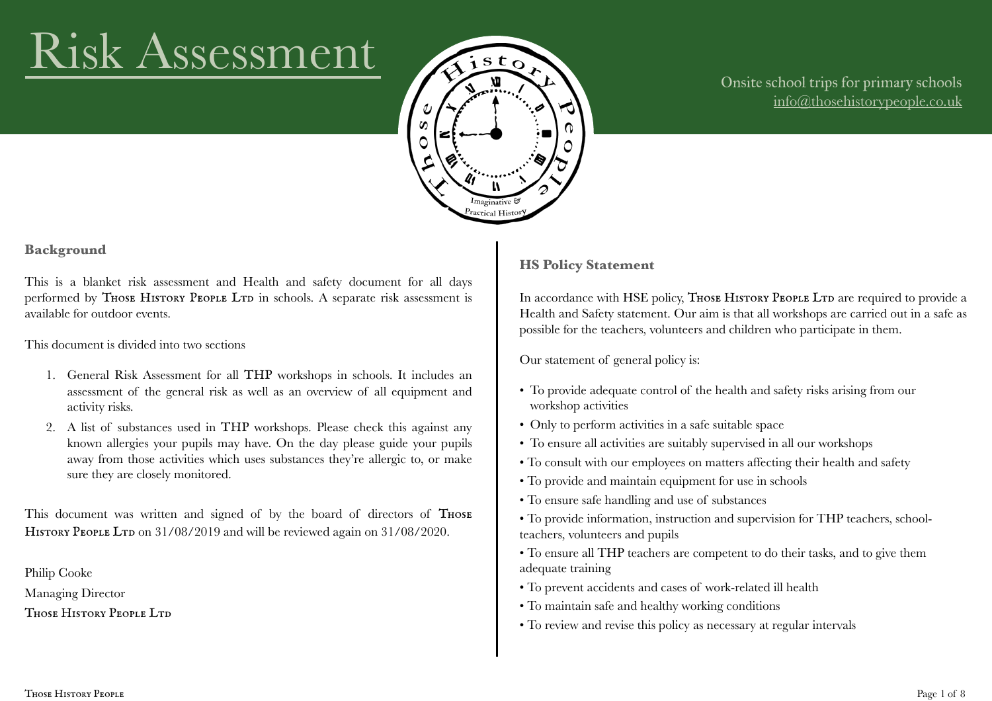# Risk Assessment



#### Onsite school trips for primary schools [info@thosehistorypeople.co.uk](mailto:info@thosehistorypeople.co.uk)

#### **Background**

This is a blanket risk assessment and Health and safety document for all days performed by THOSE HISTORY PEOPLE LTD in schools. A separate risk assessment is available for outdoor events.

This document is divided into two sections

- 1. General Risk Assessment for all THP workshops in schools. It includes an assessment of the general risk as well as an overview of all equipment and activity risks.
- 2. A list of substances used in THP workshops. Please check this against any known allergies your pupils may have. On the day please guide your pupils away from those activities which uses substances they're allergic to, or make sure they are closely monitored.

This document was written and signed of by the board of directors of THOSE HISTORY PEOPLE LTD on 31/08/2019 and will be reviewed again on 31/08/2020.

Philip Cooke Managing Director THOSE HISTORY PEOPLE LTD

#### **HS Policy Statement**

In accordance with HSE policy, THOSE HISTORY PEOPLE LTD are required to provide a Health and Safety statement. Our aim is that all workshops are carried out in a safe as possible for the teachers, volunteers and children who participate in them.

Our statement of general policy is:

- To provide adequate control of the health and safety risks arising from our workshop activities
- Only to perform activities in a safe suitable space
- To ensure all activities are suitably supervised in all our workshops
- To consult with our employees on matters affecting their health and safety
- To provide and maintain equipment for use in schools
- To ensure safe handling and use of substances
- To provide information, instruction and supervision for THP teachers, schoolteachers, volunteers and pupils
- To ensure all THP teachers are competent to do their tasks, and to give them adequate training
- To prevent accidents and cases of work-related ill health
- To maintain safe and healthy working conditions
- To review and revise this policy as necessary at regular intervals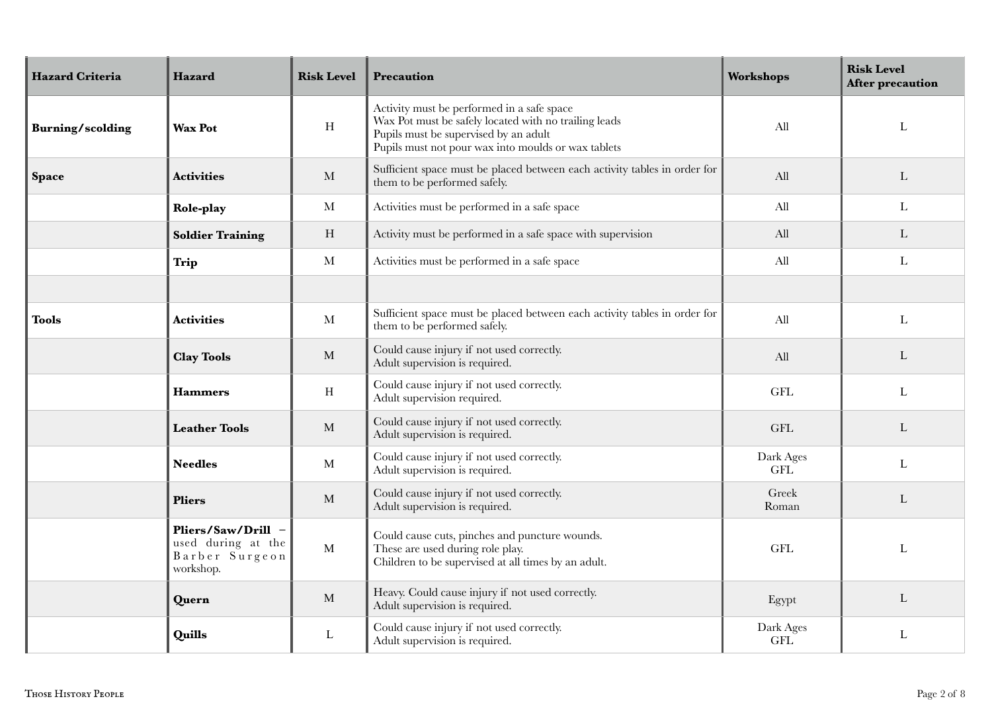| <b>Hazard Criteria</b>  | Hazard                                                                  | <b>Risk Level</b> | Precaution                                                                                                                                                                                          | Workshops               | <b>Risk Level</b><br><b>After precaution</b> |
|-------------------------|-------------------------------------------------------------------------|-------------------|-----------------------------------------------------------------------------------------------------------------------------------------------------------------------------------------------------|-------------------------|----------------------------------------------|
| <b>Burning/scolding</b> | <b>Wax Pot</b>                                                          | $\rm H$           | Activity must be performed in a safe space<br>Wax Pot must be safely located with no trailing leads<br>Pupils must be supervised by an adult<br>Pupils must not pour wax into moulds or wax tablets | All                     | $\mathbf{L}$                                 |
| <b>Space</b>            | <b>Activities</b>                                                       | $\mathbf{M}$      | Sufficient space must be placed between each activity tables in order for<br>them to be performed safely.                                                                                           | All                     | L                                            |
|                         | Role-play                                                               | $\mathbf{M}$      | Activities must be performed in a safe space                                                                                                                                                        | All                     | $\mathbf{L}$                                 |
|                         | <b>Soldier Training</b>                                                 | H                 | Activity must be performed in a safe space with supervision                                                                                                                                         | All                     | $\mathbf{L}$                                 |
|                         | <b>Trip</b>                                                             | $\mathbf{M}$      | Activities must be performed in a safe space                                                                                                                                                        | All                     | $\mathbf{L}$                                 |
|                         |                                                                         |                   |                                                                                                                                                                                                     |                         |                                              |
| <b>Tools</b>            | <b>Activities</b>                                                       | М                 | Sufficient space must be placed between each activity tables in order for<br>them to be performed safely.                                                                                           | All                     | $\mathbf{L}$                                 |
|                         | <b>Clay Tools</b>                                                       | $\mathbf M$       | Could cause injury if not used correctly.<br>Adult supervision is required.                                                                                                                         | All                     | L                                            |
|                         | <b>Hammers</b>                                                          | $\, {\rm H}$      | Could cause injury if not used correctly.<br>Adult supervision required.                                                                                                                            | <b>GFL</b>              | $\mathbf{L}$                                 |
|                         | <b>Leather Tools</b>                                                    | $\mathbf{M}$      | Could cause injury if not used correctly.<br>Adult supervision is required.                                                                                                                         | <b>GFL</b>              | L                                            |
|                         | <b>Needles</b>                                                          | M                 | Could cause injury if not used correctly.<br>Adult supervision is required.                                                                                                                         | Dark Ages<br><b>GFL</b> | $\mathbf{L}$                                 |
|                         | <b>Pliers</b>                                                           | M                 | Could cause injury if not used correctly.<br>Adult supervision is required.                                                                                                                         | Greek<br>Roman          | L                                            |
|                         | Pliers/Saw/Drill -<br>used during at the<br>Barber Surgeon<br>workshop. | $\mathbf{M}$      | Could cause cuts, pinches and puncture wounds.<br>These are used during role play.<br>Children to be supervised at all times by an adult.                                                           | <b>GFL</b>              | $\mathbf{L}$                                 |
|                         | Quern                                                                   | M                 | Heavy. Could cause injury if not used correctly.<br>Adult supervision is required.                                                                                                                  | Egypt                   | L                                            |
|                         | Quills                                                                  | L                 | Could cause injury if not used correctly.<br>Adult supervision is required.                                                                                                                         | Dark Ages<br><b>GFL</b> | L                                            |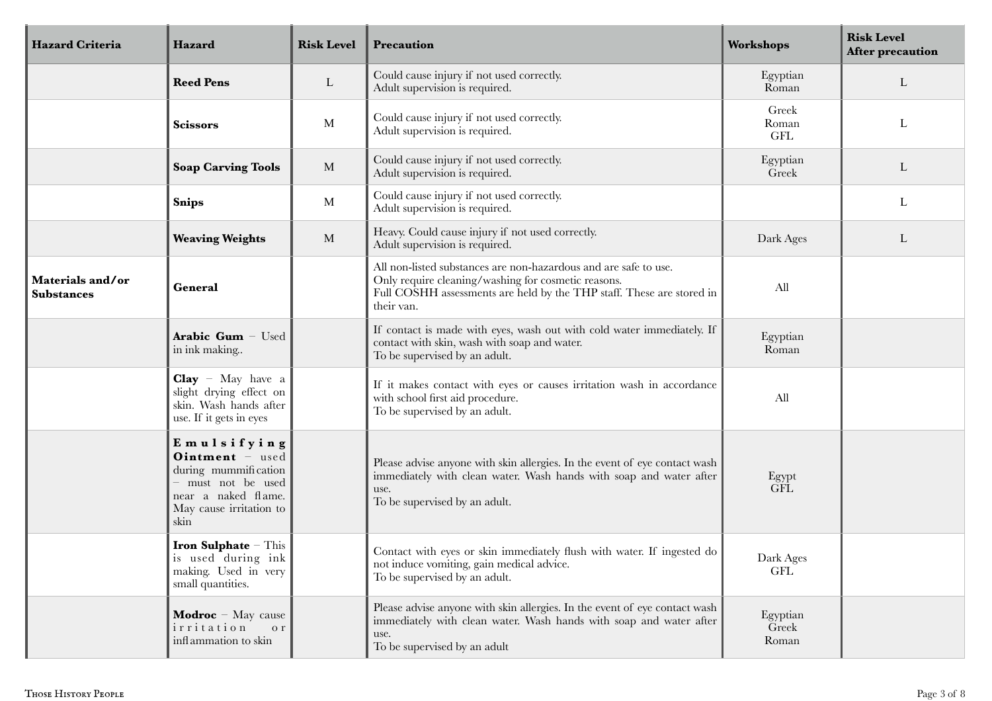| <b>Hazard Criteria</b>                | Hazard                                                                                                                               | <b>Risk Level</b> | Precaution                                                                                                                                                                                                     | Workshops                              | <b>Risk Level</b><br>After precaution |
|---------------------------------------|--------------------------------------------------------------------------------------------------------------------------------------|-------------------|----------------------------------------------------------------------------------------------------------------------------------------------------------------------------------------------------------------|----------------------------------------|---------------------------------------|
|                                       | <b>Reed Pens</b>                                                                                                                     | L                 | Could cause injury if not used correctly.<br>Adult supervision is required.                                                                                                                                    | Egyptian<br>Roman                      | L                                     |
|                                       | <b>Scissors</b>                                                                                                                      | M                 | Could cause injury if not used correctly.<br>Adult supervision is required.                                                                                                                                    | Greek<br>Roman<br>$\operatorname{GFL}$ | L                                     |
|                                       | <b>Soap Carving Tools</b>                                                                                                            | M                 | Could cause injury if not used correctly.<br>Adult supervision is required.                                                                                                                                    | Egyptian<br>Greek                      | L                                     |
|                                       | <b>Snips</b>                                                                                                                         | $\mathbf M$       | Could cause injury if not used correctly.<br>Adult supervision is required.                                                                                                                                    |                                        | L                                     |
|                                       | <b>Weaving Weights</b>                                                                                                               | M                 | Heavy. Could cause injury if not used correctly.<br>Adult supervision is required.                                                                                                                             | Dark Ages                              | L                                     |
| Materials and/or<br><b>Substances</b> | General                                                                                                                              |                   | All non-listed substances are non-hazardous and are safe to use.<br>Only require cleaning/washing for cosmetic reasons.<br>Full COSHH assessments are held by the THP staff. These are stored in<br>their van. | All                                    |                                       |
|                                       | Arabic Gum - Used<br>in ink making                                                                                                   |                   | If contact is made with eyes, wash out with cold water immediately. If<br>contact with skin, wash with soap and water.<br>To be supervised by an adult.                                                        | Egyptian<br>Roman                      |                                       |
|                                       | $Clay - May$ have a<br>slight drying effect on<br>skin. Wash hands after<br>use. If it gets in eyes                                  |                   | If it makes contact with eyes or causes irritation wash in accordance<br>with school first aid procedure.<br>To be supervised by an adult.                                                                     | All                                    |                                       |
|                                       | Emulsifying<br>Ointment - used<br>during mummification<br>must not be used<br>near a naked flame.<br>May cause irritation to<br>skin |                   | Please advise anyone with skin allergies. In the event of eye contact wash<br>immediately with clean water. Wash hands with soap and water after<br>use.<br>To be supervised by an adult.                      | Egypt<br><b>GFL</b>                    |                                       |
|                                       | Iron Sulphate - This<br>is used during ink<br>making. Used in very<br>small quantities.                                              |                   | Contact with eyes or skin immediately flush with water. If ingested do<br>not induce vomiting, gain medical advice.<br>To be supervised by an adult.                                                           | Dark Ages<br>$\operatorname{GFL}$      |                                       |
|                                       | <b>Modroc</b> – May cause<br>irritation<br>o r<br>inflammation to skin                                                               |                   | Please advise anyone with skin allergies. In the event of eye contact wash<br>immediately with clean water. Wash hands with soap and water after<br>use.<br>To be supervised by an adult                       | Egyptian<br>Greek<br>Roman             |                                       |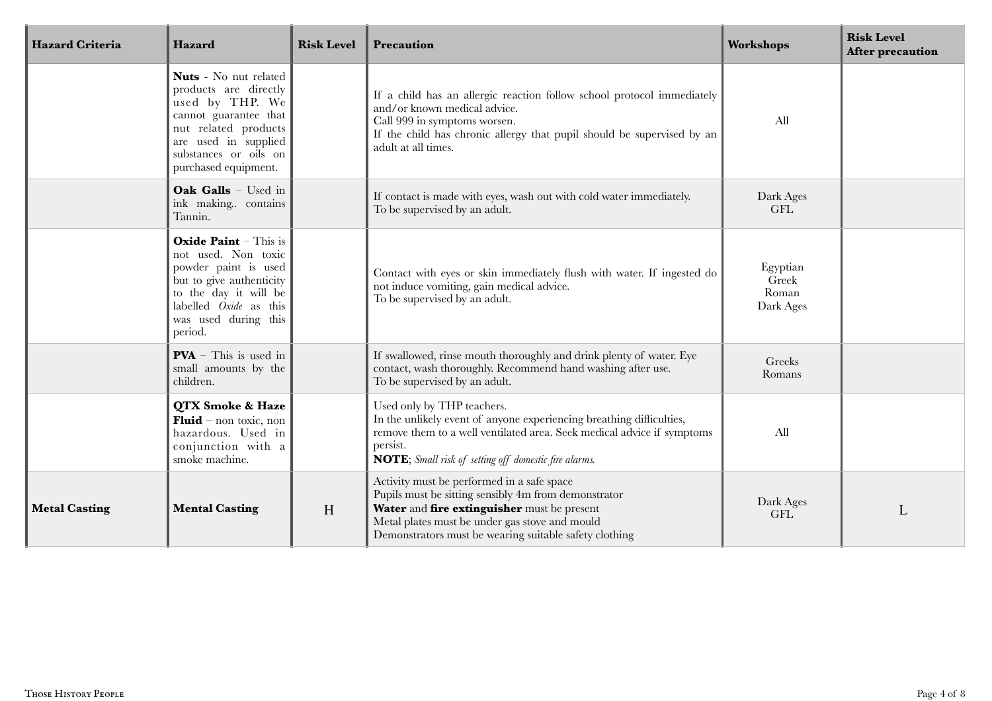| <b>Hazard Criteria</b> | Hazard                                                                                                                                                                                        | <b>Risk Level</b> | Precaution                                                                                                                                                                                                                                                    | <b>Workshops</b>                        | <b>Risk Level</b><br>After precaution |
|------------------------|-----------------------------------------------------------------------------------------------------------------------------------------------------------------------------------------------|-------------------|---------------------------------------------------------------------------------------------------------------------------------------------------------------------------------------------------------------------------------------------------------------|-----------------------------------------|---------------------------------------|
|                        | Nuts - No nut related<br>products are directly<br>used by THP. We<br>cannot guarantee that<br>nut related products<br>are used in supplied<br>substances or oils on<br>purchased equipment.   |                   | If a child has an allergic reaction follow school protocol immediately<br>and/or known medical advice.<br>Call 999 in symptoms worsen.<br>If the child has chronic allergy that pupil should be supervised by an<br>adult at all times.                       | All                                     |                                       |
|                        | Oak Galls - Used in<br>ink making contains<br>Tannin.                                                                                                                                         |                   | If contact is made with eyes, wash out with cold water immediately.<br>To be supervised by an adult.                                                                                                                                                          | Dark Ages<br><b>GFL</b>                 |                                       |
|                        | <b>Oxide Paint</b> - This is<br>not used. Non toxic<br>powder paint is used<br>but to give authenticity<br>to the day it will be<br>labelled Oxide as this<br>was used during this<br>period. |                   | Contact with eyes or skin immediately flush with water. If ingested do<br>not induce vomiting, gain medical advice.<br>To be supervised by an adult.                                                                                                          | Egyptian<br>Greek<br>Roman<br>Dark Ages |                                       |
|                        | $PVA$ – This is used in<br>small amounts by the<br>children.                                                                                                                                  |                   | If swallowed, rinse mouth thoroughly and drink plenty of water. Eye<br>contact, wash thoroughly. Recommend hand washing after use.<br>To be supervised by an adult.                                                                                           | Greeks<br>Romans                        |                                       |
|                        | QTX Smoke & Haze<br><b>Fluid</b> – non toxic, non<br>hazardous. Used in<br>conjunction with a<br>smoke machine.                                                                               |                   | Used only by THP teachers.<br>In the unlikely event of anyone experiencing breathing difficulties,<br>remove them to a well ventilated area. Seek medical advice if symptoms<br>persist.<br><b>NOTE</b> ; Small risk of setting off domestic fire alarms.     | All                                     |                                       |
| <b>Metal Casting</b>   | <b>Mental Casting</b>                                                                                                                                                                         | H                 | Activity must be performed in a safe space<br>Pupils must be sitting sensibly 4m from demonstrator<br>Water and fire extinguisher must be present<br>Metal plates must be under gas stove and mould<br>Demonstrators must be wearing suitable safety clothing | Dark Ages<br><b>GFL</b>                 | L                                     |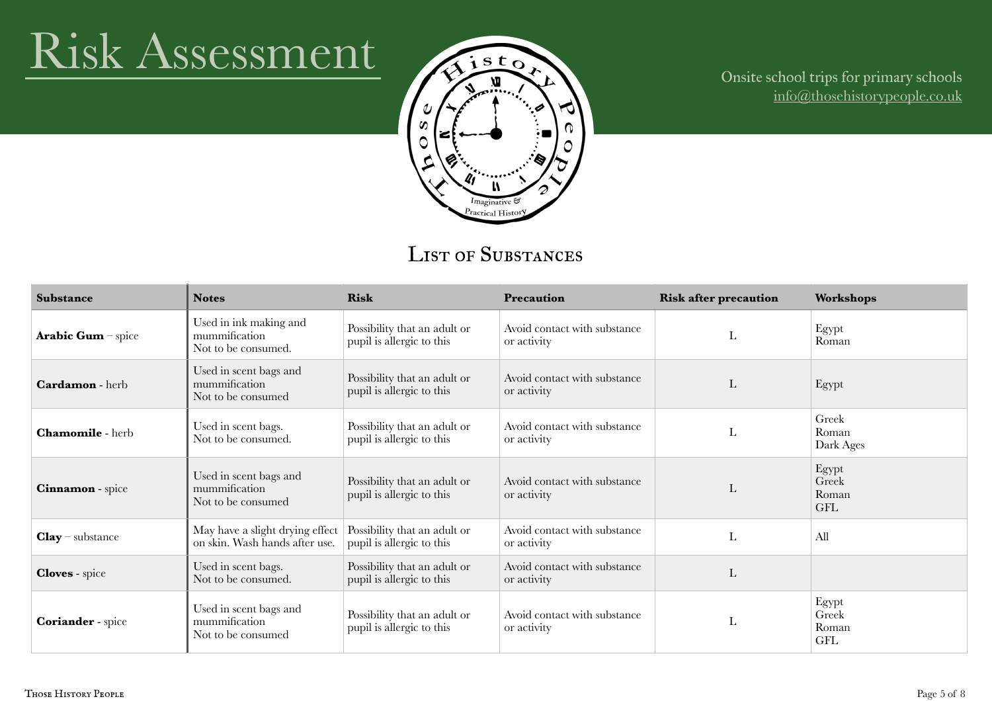## Risk Assessment



### Onsite school trips for primary schools [info@thosehistorypeople.co.uk](mailto:info@thosehistorypeople.co.uk)

### LIST OF SUBSTANCES

| <b>Substance</b>        | <b>Notes</b>                                                      | <b>Risk</b>                                               | <b>Precaution</b>                           | <b>Risk after precaution</b> | <b>Workshops</b>                      |
|-------------------------|-------------------------------------------------------------------|-----------------------------------------------------------|---------------------------------------------|------------------------------|---------------------------------------|
| Arabic Gum - spice      | Used in ink making and<br>mummification<br>Not to be consumed.    | Possibility that an adult or<br>pupil is allergic to this | Avoid contact with substance<br>or activity | L                            | Egypt<br>Roman                        |
| <b>Cardamon</b> - herb  | Used in scent bags and<br>mummification<br>Not to be consumed     | Possibility that an adult or<br>pupil is allergic to this | Avoid contact with substance<br>or activity | L                            | Egypt                                 |
| <b>Chamomile</b> - herb | Used in scent bags.<br>Not to be consumed.                        | Possibility that an adult or<br>pupil is allergic to this | Avoid contact with substance<br>or activity | L                            | Greek<br>Roman<br>Dark Ages           |
| <b>Cinnamon</b> - spice | Used in scent bags and<br>mummification<br>Not to be consumed     | Possibility that an adult or<br>pupil is allergic to this | Avoid contact with substance<br>or activity | L                            | Egypt<br>Greek<br>Roman<br><b>GFL</b> |
| $Clay$ - substance      | May have a slight drying effect<br>on skin. Wash hands after use. | Possibility that an adult or<br>pupil is allergic to this | Avoid contact with substance<br>or activity | L                            | All                                   |
| <b>Cloves</b> - spice   | Used in scent bags.<br>Not to be consumed.                        | Possibility that an adult or<br>pupil is allergic to this | Avoid contact with substance<br>or activity | L                            |                                       |
| Coriander - spice       | Used in scent bags and<br>mummification<br>Not to be consumed     | Possibility that an adult or<br>pupil is allergic to this | Avoid contact with substance<br>or activity | ட                            | Egypt<br>Greek<br>Roman<br><b>GFL</b> |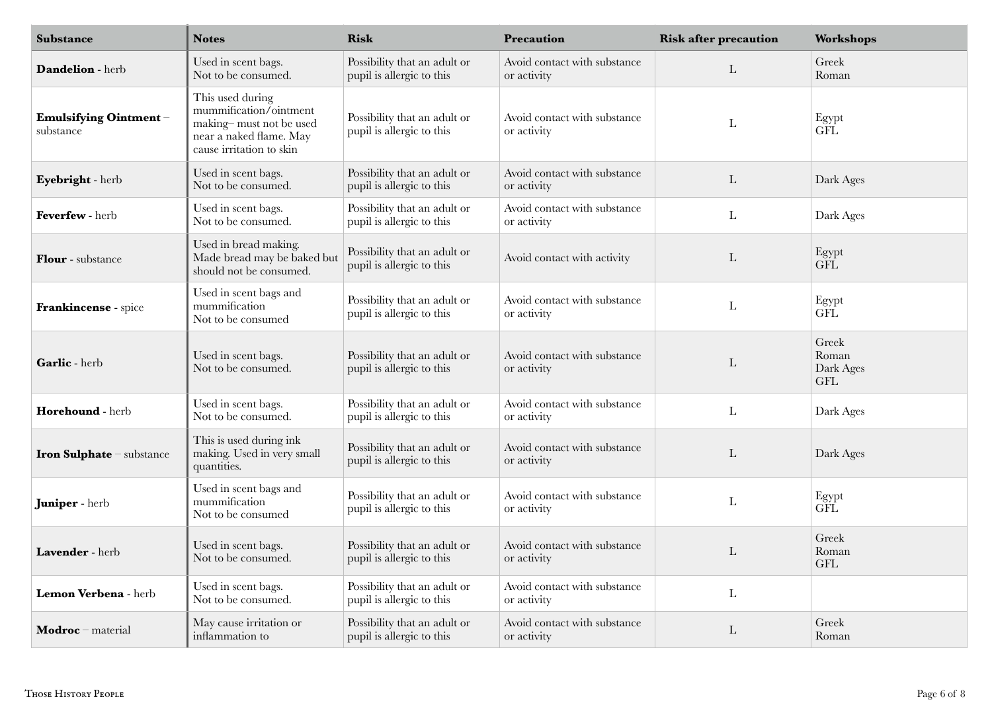| Substance                          | <b>Notes</b>                                                                                                                 | <b>Risk</b>                                               | Precaution                                  | <b>Risk after precaution</b> | Workshops                                 |
|------------------------------------|------------------------------------------------------------------------------------------------------------------------------|-----------------------------------------------------------|---------------------------------------------|------------------------------|-------------------------------------------|
| Dandelion - herb                   | Used in scent bags.<br>Not to be consumed.                                                                                   | Possibility that an adult or<br>pupil is allergic to this | Avoid contact with substance<br>or activity | L                            | Greek<br>Roman                            |
| Emulsifying Ointment-<br>substance | This used during<br>mummification/ointment<br>making-must not be used<br>near a naked flame. May<br>cause irritation to skin | Possibility that an adult or<br>pupil is allergic to this | Avoid contact with substance<br>or activity | L                            | Egypt<br>GFL                              |
| Eyebright - herb                   | Used in scent bags.<br>Not to be consumed.                                                                                   | Possibility that an adult or<br>pupil is allergic to this | Avoid contact with substance<br>or activity | $\mathbf{L}$                 | Dark Ages                                 |
| Feverfew - herb                    | Used in scent bags.<br>Not to be consumed.                                                                                   | Possibility that an adult or<br>pupil is allergic to this | Avoid contact with substance<br>or activity | L                            | Dark Ages                                 |
| Flour - substance                  | Used in bread making.<br>Made bread may be baked but<br>should not be consumed.                                              | Possibility that an adult or<br>pupil is allergic to this | Avoid contact with activity                 | L                            | Egypt<br><b>GFL</b>                       |
| Frankincense - spice               | Used in scent bags and<br>mummification<br>Not to be consumed                                                                | Possibility that an adult or<br>pupil is allergic to this | Avoid contact with substance<br>or activity | L                            | Egypt<br><b>GFL</b>                       |
| Garlic - herb                      | Used in scent bags.<br>Not to be consumed.                                                                                   | Possibility that an adult or<br>pupil is allergic to this | Avoid contact with substance<br>or activity | L                            | Greek<br>Roman<br>Dark Ages<br><b>GFL</b> |
| Horehound - herb                   | Used in scent bags.<br>Not to be consumed.                                                                                   | Possibility that an adult or<br>pupil is allergic to this | Avoid contact with substance<br>or activity | L                            | Dark Ages                                 |
| <b>Iron Sulphate</b> - substance   | This is used during ink<br>making. Used in very small<br>quantities.                                                         | Possibility that an adult or<br>pupil is allergic to this | Avoid contact with substance<br>or activity | L                            | Dark Ages                                 |
| Juniper - herb                     | Used in scent bags and<br>mummification<br>Not to be consumed                                                                | Possibility that an adult or<br>pupil is allergic to this | Avoid contact with substance<br>or activity | L                            | Egypt<br><b>GFL</b>                       |
| Lavender - herb                    | Used in scent bags.<br>Not to be consumed.                                                                                   | Possibility that an adult or<br>pupil is allergic to this | Avoid contact with substance<br>or activity | L                            | Greek<br>Roman<br><b>GFL</b>              |
| Lemon Verbena - herb               | Used in scent bags.<br>Not to be consumed.                                                                                   | Possibility that an adult or<br>pupil is allergic to this | Avoid contact with substance<br>or activity | $\mathbf{L}$                 |                                           |
| Modroc - material                  | May cause irritation or<br>inflammation to                                                                                   | Possibility that an adult or<br>pupil is allergic to this | Avoid contact with substance<br>or activity | L                            | Greek<br>Roman                            |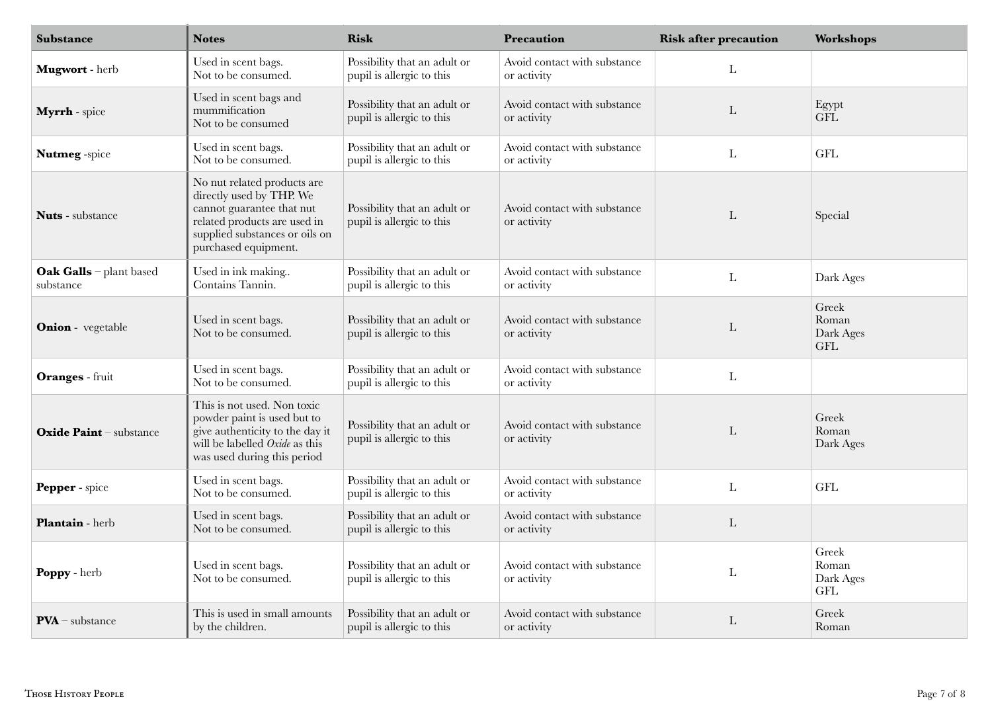| <b>Substance</b>                     | <b>Notes</b>                                                                                                                                                                   | <b>Risk</b>                                               | Precaution                                  | <b>Risk after precaution</b> | Workshops                                 |
|--------------------------------------|--------------------------------------------------------------------------------------------------------------------------------------------------------------------------------|-----------------------------------------------------------|---------------------------------------------|------------------------------|-------------------------------------------|
| Mugwort - herb                       | Used in scent bags.<br>Not to be consumed.                                                                                                                                     | Possibility that an adult or<br>pupil is allergic to this | Avoid contact with substance<br>or activity | L                            |                                           |
| Myrrh - spice                        | Used in scent bags and<br>mummification<br>Not to be consumed                                                                                                                  | Possibility that an adult or<br>pupil is allergic to this | Avoid contact with substance<br>or activity | $\mathbf{L}$                 | Egypt<br><b>GFL</b>                       |
| Nutmeg-spice                         | Used in scent bags.<br>Not to be consumed.                                                                                                                                     | Possibility that an adult or<br>pupil is allergic to this | Avoid contact with substance<br>or activity | L                            | <b>GFL</b>                                |
| <b>Nuts</b> - substance              | No nut related products are<br>directly used by THP. We<br>cannot guarantee that nut<br>related products are used in<br>supplied substances or oils on<br>purchased equipment. | Possibility that an adult or<br>pupil is allergic to this | Avoid contact with substance<br>or activity | L                            | Special                                   |
| Oak Galls - plant based<br>substance | Used in ink making<br>Contains Tannin.                                                                                                                                         | Possibility that an adult or<br>pupil is allergic to this | Avoid contact with substance<br>or activity | $\mathbf{L}$                 | Dark Ages                                 |
| <b>Onion</b> - vegetable             | Used in scent bags.<br>Not to be consumed.                                                                                                                                     | Possibility that an adult or<br>pupil is allergic to this | Avoid contact with substance<br>or activity | $\mathbf{L}$                 | Greek<br>Roman<br>Dark Ages<br><b>GFL</b> |
| Oranges - fruit                      | Used in scent bags.<br>Not to be consumed.                                                                                                                                     | Possibility that an adult or<br>pupil is allergic to this | Avoid contact with substance<br>or activity | $\mathbf L$                  |                                           |
| Oxide Paint - substance              | This is not used. Non toxic<br>powder paint is used but to<br>give authenticity to the day it<br>will be labelled Oxide as this<br>was used during this period                 | Possibility that an adult or<br>pupil is allergic to this | Avoid contact with substance<br>or activity | L                            | Greek<br>Roman<br>Dark Ages               |
| Pepper - spice                       | Used in scent bags.<br>Not to be consumed.                                                                                                                                     | Possibility that an adult or<br>pupil is allergic to this | Avoid contact with substance<br>or activity | $\mathbf{L}$                 | <b>GFL</b>                                |
| Plantain - herb                      | Used in scent bags.<br>Not to be consumed.                                                                                                                                     | Possibility that an adult or<br>pupil is allergic to this | Avoid contact with substance<br>or activity | L                            |                                           |
| Poppy - herb                         | Used in scent bags.<br>Not to be consumed.                                                                                                                                     | Possibility that an adult or<br>pupil is allergic to this | Avoid contact with substance<br>or activity | L                            | Greek<br>Roman<br>Dark Ages<br><b>GFL</b> |
| $PVA$ - substance                    | This is used in small amounts<br>by the children.                                                                                                                              | Possibility that an adult or<br>pupil is allergic to this | Avoid contact with substance<br>or activity | $\mathbf{L}$                 | Greek<br>Roman                            |